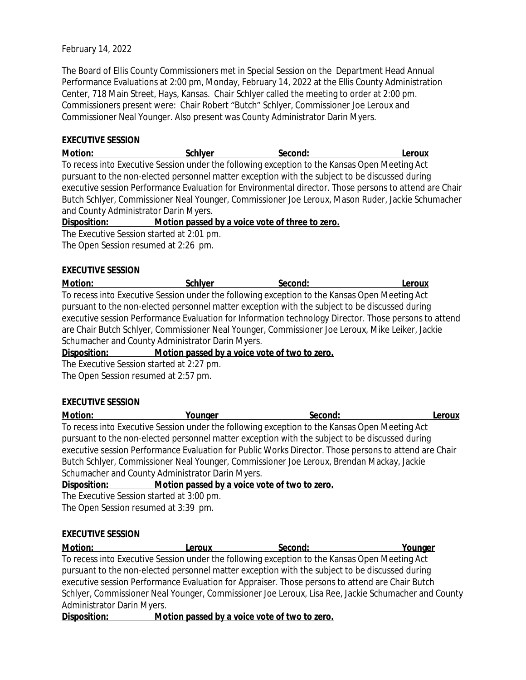# February 14, 2022

The Board of Ellis County Commissioners met in Special Session on the Department Head Annual Performance Evaluations at 2:00 pm, Monday, February 14, 2022 at the Ellis County Administration Center, 718 Main Street, Hays, Kansas. Chair Schlyer called the meeting to order at 2:00 pm. Commissioners present were: Chair Robert "Butch" Schlyer, Commissioner Joe Leroux and Commissioner Neal Younger. Also present was County Administrator Darin Myers.

## **EXECUTIVE SESSION**

**Motion: Schlyer Second: Leroux** To recess into Executive Session under the following exception to the Kansas Open Meeting Act pursuant to the non-elected personnel matter exception with the subject to be discussed during executive session Performance Evaluation for Environmental director. Those persons to attend are Chair Butch Schlyer, Commissioner Neal Younger, Commissioner Joe Leroux, Mason Ruder, Jackie Schumacher and County Administrator Darin Myers.

## **Disposition: Motion passed by a voice vote of three to zero.**

The Executive Session started at 2:01 pm.

The Open Session resumed at 2:26 pm.

# **EXECUTIVE SESSION**

**Motion: Schlyer Second: Leroux** To recess into Executive Session under the following exception to the Kansas Open Meeting Act pursuant to the non-elected personnel matter exception with the subject to be discussed during executive session Performance Evaluation for Information technology Director. Those persons to attend are Chair Butch Schlyer, Commissioner Neal Younger, Commissioner Joe Leroux, Mike Leiker, Jackie Schumacher and County Administrator Darin Myers.

**Disposition: Motion passed by a voice vote of two to zero.**

The Executive Session started at 2:27 pm.

The Open Session resumed at 2:57 pm.

#### **EXECUTIVE SESSION**

**Motion: Younger Second: Leroux** To recess into Executive Session under the following exception to the Kansas Open Meeting Act pursuant to the non-elected personnel matter exception with the subject to be discussed during executive session Performance Evaluation for Public Works Director. Those persons to attend are Chair Butch Schlyer, Commissioner Neal Younger, Commissioner Joe Leroux, Brendan Mackay, Jackie Schumacher and County Administrator Darin Myers.

#### **Disposition: Motion passed by a voice vote of two to zero.**

The Executive Session started at 3:00 pm. The Open Session resumed at 3:39 pm.

#### **EXECUTIVE SESSION**

**Motion: Leroux Second: Younger** To recess into Executive Session under the following exception to the Kansas Open Meeting Act pursuant to the non-elected personnel matter exception with the subject to be discussed during executive session Performance Evaluation for Appraiser. Those persons to attend are Chair Butch Schlyer, Commissioner Neal Younger, Commissioner Joe Leroux, Lisa Ree, Jackie Schumacher and County Administrator Darin Myers.

**Disposition: Motion passed by a voice vote of two to zero.**